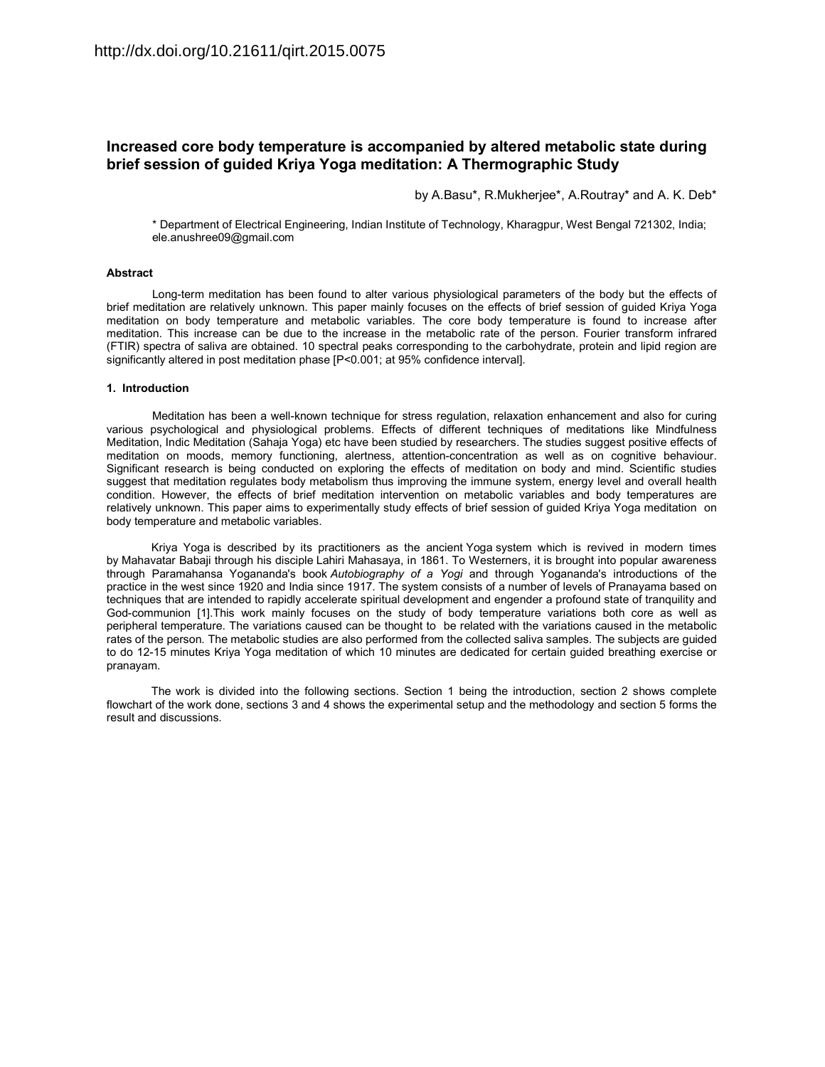# **Increased core body temperature is accompanied by altered metabolic state during brief session of guided Kriya Yoga meditation: A Thermographic Study**

by A.Basu\*, R.Mukherjee\*, A.Routray\* and A. K. Deb\*

\* Department of Electrical Engineering, Indian Institute of Technology, Kharagpur, West Bengal 721302, India; ele.anushree09@gmail.com

#### **Abstract**

Long-term meditation has been found to alter various physiological parameters of the body but the effects of brief meditation are relatively unknown. This paper mainly focuses on the effects of brief session of guided Kriya Yoga meditation on body temperature and metabolic variables. The core body temperature is found to increase after meditation. This increase can be due to the increase in the metabolic rate of the person. Fourier transform infrared (FTIR) spectra of saliva are obtained. 10 spectral peaks corresponding to the carbohydrate, protein and lipid region are significantly altered in post meditation phase [P<0.001; at 95% confidence interval].

#### **1. Introduction**

Meditation has been a well-known technique for stress regulation, relaxation enhancement and also for curing various psychological and physiological problems. Effects of different techniques of meditations like Mindfulness Meditation, Indic Meditation (Sahaja Yoga) etc have been studied by researchers. The studies suggest positive effects of meditation on moods, memory functioning, alertness, attention-concentration as well as on cognitive behaviour. Significant research is being conducted on exploring the effects of meditation on body and mind. Scientific studies suggest that meditation regulates body metabolism thus improving the immune system, energy level and overall health condition. However, the effects of brief meditation intervention on metabolic variables and body temperatures are relatively unknown. This paper aims to experimentally study effects of brief session of guided Kriya Yoga meditation on body temperature and metabolic variables.

Kriya Yoga is described by its practitioners as the ancient Yoga system which is revived in modern times by Mahavatar Babaji through his disciple Lahiri Mahasaya, in 1861. To Westerners, it is brought into popular awareness through Paramahansa Yogananda's book *Autobiography of a Yogi* and through Yogananda's introductions of the practice in the west since 1920 and India since 1917. The system consists of a number of levels of Pranayama based on techniques that are intended to rapidly accelerate spiritual development and engender a profound state of tranquility and God-communion [1].This work mainly focuses on the study of body temperature variations both core as well as peripheral temperature. The variations caused can be thought to be related with the variations caused in the metabolic rates of the person. The metabolic studies are also performed from the collected saliva samples. The subjects are guided to do 12-15 minutes Kriya Yoga meditation of which 10 minutes are dedicated for certain guided breathing exercise or pranayam.

The work is divided into the following sections. Section 1 being the introduction, section 2 shows complete flowchart of the work done, sections 3 and 4 shows the experimental setup and the methodology and section 5 forms the result and discussions.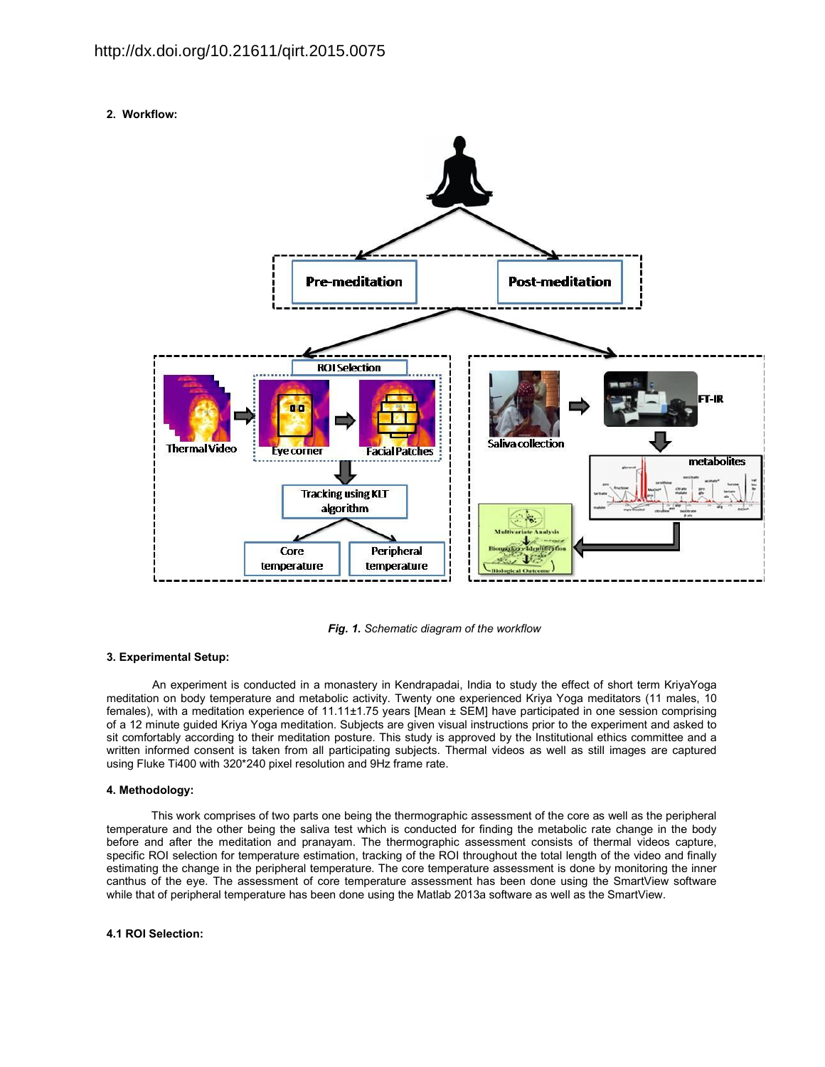**2. Workflow:** 



*Fig. 1. Schematic diagram of the workflow* 

# **3. Experimental Setup:**

An experiment is conducted in a monastery in Kendrapadai, India to study the effect of short term KriyaYoga meditation on body temperature and metabolic activity. Twenty one experienced Kriya Yoga meditators (11 males, 10 females), with a meditation experience of 11.11±1.75 years [Mean ± SEM] have participated in one session comprising of a 12 minute guided Kriya Yoga meditation. Subjects are given visual instructions prior to the experiment and asked to sit comfortably according to their meditation posture. This study is approved by the Institutional ethics committee and a written informed consent is taken from all participating subjects. Thermal videos as well as still images are captured using Fluke Ti400 with 320\*240 pixel resolution and 9Hz frame rate.

# **4. Methodology:**

This work comprises of two parts one being the thermographic assessment of the core as well as the peripheral temperature and the other being the saliva test which is conducted for finding the metabolic rate change in the body before and after the meditation and pranayam. The thermographic assessment consists of thermal videos capture, specific ROI selection for temperature estimation, tracking of the ROI throughout the total length of the video and finally estimating the change in the peripheral temperature. The core temperature assessment is done by monitoring the inner canthus of the eye. The assessment of core temperature assessment has been done using the SmartView software while that of peripheral temperature has been done using the Matlab 2013a software as well as the SmartView.

# **4.1 ROI Selection:**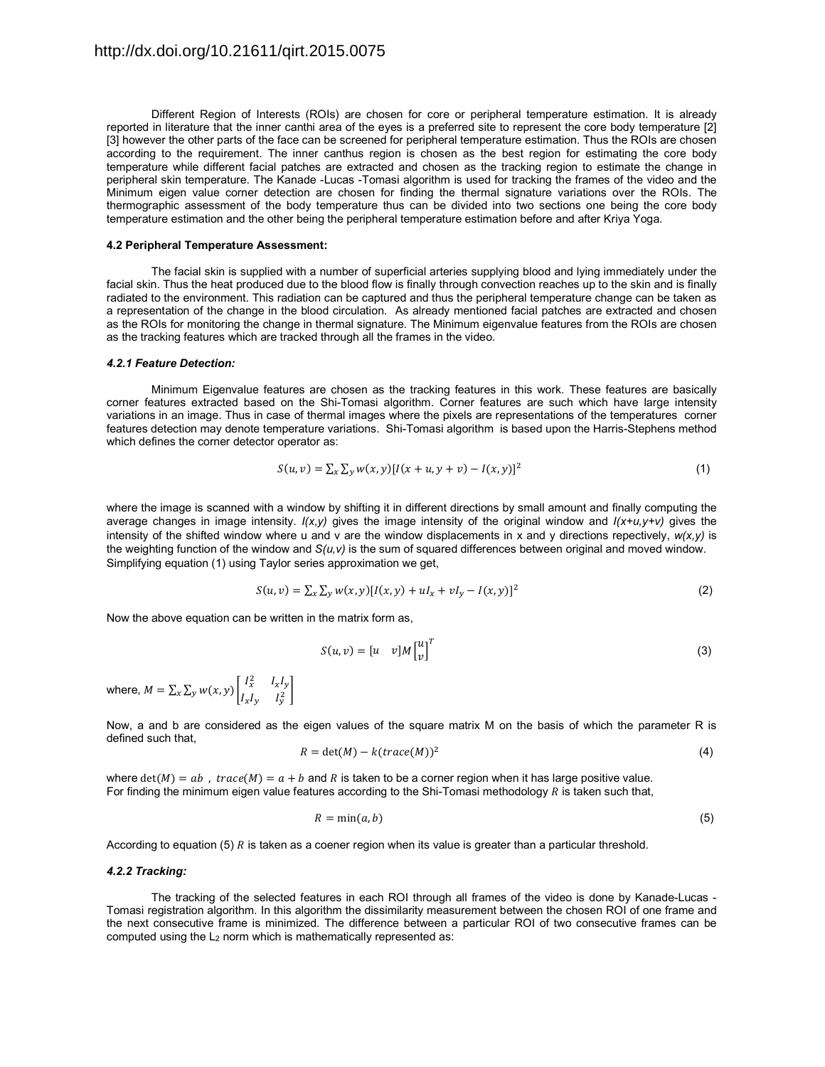Different Region of Interests (ROIs) are chosen for core or peripheral temperature estimation. It is already reported in literature that the inner canthi area of the eyes is a preferred site to represent the core body temperature [2] [3] however the other parts of the face can be screened for peripheral temperature estimation. Thus the ROIs are chosen according to the requirement. The inner canthus region is chosen as the best region for estimating the core body temperature while different facial patches are extracted and chosen as the tracking region to estimate the change in peripheral skin temperature. The Kanade -Lucas -Tomasi algorithm is used for tracking the frames of the video and the Minimum eigen value corner detection are chosen for finding the thermal signature variations over the ROIs. The thermographic assessment of the body temperature thus can be divided into two sections one being the core body temperature estimation and the other being the peripheral temperature estimation before and after Kriya Yoga.

#### **4.2 Peripheral Temperature Assessment:**

The facial skin is supplied with a number of superficial arteries supplying blood and lying immediately under the facial skin. Thus the heat produced due to the blood flow is finally through convection reaches up to the skin and is finally radiated to the environment. This radiation can be captured and thus the peripheral temperature change can be taken as a representation of the change in the blood circulation. As already mentioned facial patches are extracted and chosen as the ROIs for monitoring the change in thermal signature. The Minimum eigenvalue features from the ROIs are chosen as the tracking features which are tracked through all the frames in the video.

#### *4.2.1 Feature Detection:*

Minimum Eigenvalue features are chosen as the tracking features in this work. These features are basically corner features extracted based on the Shi-Tomasi algorithm. Corner features are such which have large intensity variations in an image. Thus in case of thermal images where the pixels are representations of the temperatures corner features detection may denote temperature variations. Shi-Tomasi algorithm is based upon the Harris-Stephens method which defines the corner detector operator as:

$$
S(u, v) = \sum_{x} \sum_{y} w(x, y) [I(x + u, y + v) - I(x, y)]^{2}
$$
\n(1)

where the image is scanned with a window by shifting it in different directions by small amount and finally computing the average changes in image intensity. *I(x,y)* gives the image intensity of the original window and *I(x+u,y+v)* gives the intensity of the shifted window where u and v are the window displacements in x and y directions repectively, *w(x,y)* is the weighting function of the window and *S(u,v)* is the sum of squared differences between original and moved window. Simplifying equation (1) using Taylor series approximation we get,

$$
S(u, v) = \sum_{x} \sum_{y} w(x, y) [I(x, y) + uI_x + vI_y - I(x, y)]^2
$$
 (2)

Now the above equation can be written in the matrix form as,

$$
S(u,v) = \begin{bmatrix} u & v \end{bmatrix} M \begin{bmatrix} u \\ v \end{bmatrix}^T \tag{3}
$$

where,  $M = \sum_{x} \sum_{y} w(x, y) \begin{bmatrix} I_x^2 & I_x I_y \\ I_y & I_y^2 \end{bmatrix}$  $\left[x\sum_{y}W(x,y)\begin{bmatrix}x&-x-y\\I_xI_y&I_y^2\end{bmatrix}\right]$ 

Now, a and b are considered as the eigen values of the square matrix M on the basis of which the parameter R is defined such that,

$$
R = \det(M) - k \left( \operatorname{trace}(M) \right)^2 \tag{4}
$$

where  $det(M) = ab$ ,  $trace(M) = a + b$  and R is taken to be a corner region when it has large positive value. For finding the minimum eigen value features according to the Shi-Tomasi methodology  $R$  is taken such that,

$$
R = \min(a, b) \tag{5}
$$

According to equation (5)  $R$  is taken as a coener region when its value is greater than a particular threshold.

#### *4.2.2 Tracking:*

The tracking of the selected features in each ROI through all frames of the video is done by Kanade-Lucas - Tomasi registration algorithm. In this algorithm the dissimilarity measurement between the chosen ROI of one frame and the next consecutive frame is minimized. The difference between a particular ROI of two consecutive frames can be computed using the  $L_2$  norm which is mathematically represented as: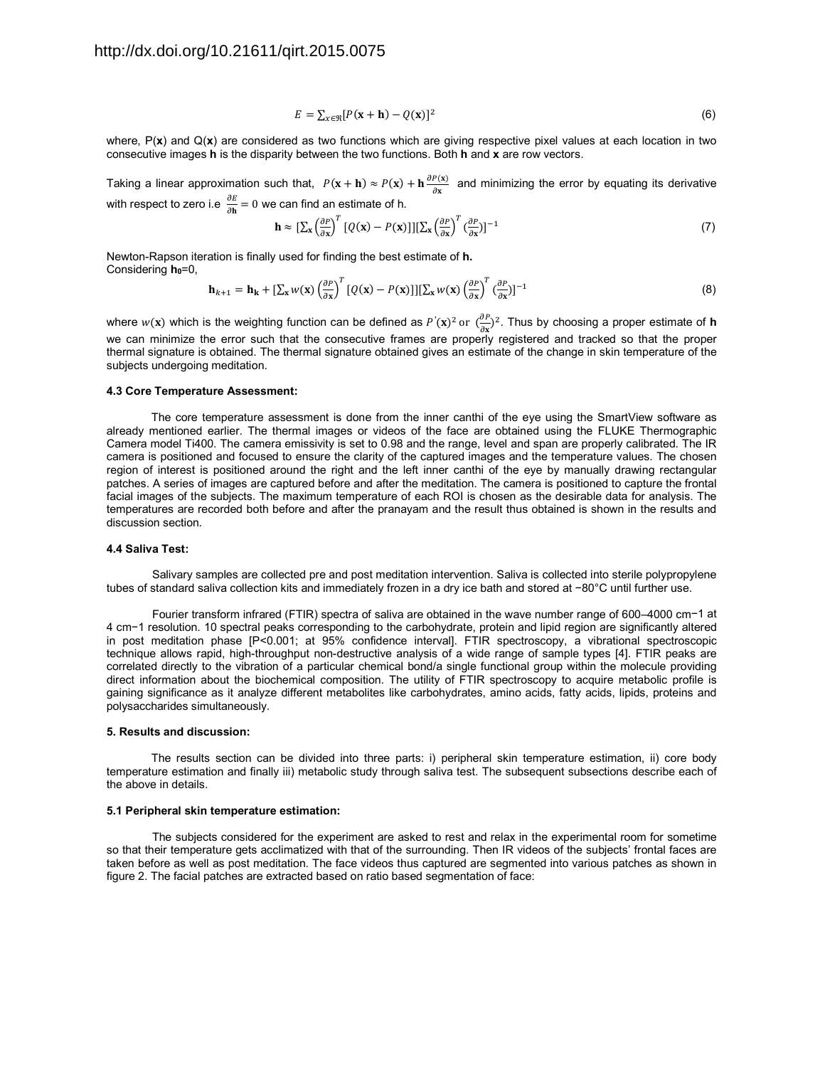$$
E = \sum_{x \in \mathfrak{R}} [P(\mathbf{x} + \mathbf{h}) - Q(\mathbf{x})]^2 \tag{6}
$$

where, P(**x**) and Q(**x**) are considered as two functions which are giving respective pixel values at each location in two consecutive images **h** is the disparity between the two functions. Both **h** and **x** are row vectors.

Taking a linear approximation such that,  $P(x + h) \approx P(x) + h \frac{\partial P(x)}{\partial x}$  and minimizing the error by equating its derivative with respect to zero i.e  $\frac{\partial E}{\partial \mathbf{h}} = 0$  we can find an estimate of h.

$$
\mathbf{h} \approx \left[\sum_{\mathbf{x}} \left(\frac{\partial P}{\partial \mathbf{x}}\right)^T \left[Q(\mathbf{x}) - P(\mathbf{x})\right]\right] \left[\sum_{\mathbf{x}} \left(\frac{\partial P}{\partial \mathbf{x}}\right)^T \left(\frac{\partial P}{\partial \mathbf{x}}\right)\right]^{-1} \tag{7}
$$

Newton-Rapson iteration is finally used for finding the best estimate of **h.**  Considering h<sub>0</sub>=0,

$$
\mathbf{h}_{k+1} = \mathbf{h}_{k} + \left[\sum_{x} w(x) \left(\frac{\partial P}{\partial x}\right)^{T} \left[Q(x) - P(x)\right]\right] \left[\sum_{x} w(x) \left(\frac{\partial P}{\partial x}\right)^{T} \left(\frac{\partial P}{\partial x}\right)\right]^{-1}
$$
(8)

where  $w(x)$  which is the weighting function can be defined as  $P'(x)^2$  or  $\left(\frac{\partial P}{\partial x}\right)^2$ . Thus by choosing a proper estimate of **h** we can minimize the error such that the consecutive frames are properly registered and tracked so that the proper thermal signature is obtained. The thermal signature obtained gives an estimate of the change in skin temperature of the subjects undergoing meditation.

#### **4.3 Core Temperature Assessment:**

The core temperature assessment is done from the inner canthi of the eye using the SmartView software as already mentioned earlier. The thermal images or videos of the face are obtained using the FLUKE Thermographic Camera model Ti400. The camera emissivity is set to 0.98 and the range, level and span are properly calibrated. The IR camera is positioned and focused to ensure the clarity of the captured images and the temperature values. The chosen region of interest is positioned around the right and the left inner canthi of the eye by manually drawing rectangular patches. A series of images are captured before and after the meditation. The camera is positioned to capture the frontal facial images of the subjects. The maximum temperature of each ROI is chosen as the desirable data for analysis. The temperatures are recorded both before and after the pranayam and the result thus obtained is shown in the results and discussion section.

#### **4.4 Saliva Test:**

Salivary samples are collected pre and post meditation intervention. Saliva is collected into sterile polypropylene tubes of standard saliva collection kits and immediately frozen in a dry ice bath and stored at −80°C until further use.

Fourier transform infrared (FTIR) spectra of saliva are obtained in the wave number range of 600–4000 cm−1 at 4 cm−1 resolution. 10 spectral peaks corresponding to the carbohydrate, protein and lipid region are significantly altered in post meditation phase [P<0.001; at 95% confidence interval]. FTIR spectroscopy, a vibrational spectroscopic technique allows rapid, high-throughput non-destructive analysis of a wide range of sample types [4]. FTIR peaks are correlated directly to the vibration of a particular chemical bond/a single functional group within the molecule providing direct information about the biochemical composition. The utility of FTIR spectroscopy to acquire metabolic profile is gaining significance as it analyze different metabolites like carbohydrates, amino acids, fatty acids, lipids, proteins and polysaccharides simultaneously.

#### **5. Results and discussion:**

The results section can be divided into three parts: i) peripheral skin temperature estimation, ii) core body temperature estimation and finally iii) metabolic study through saliva test. The subsequent subsections describe each of the above in details.

#### **5.1 Peripheral skin temperature estimation:**

The subjects considered for the experiment are asked to rest and relax in the experimental room for sometime so that their temperature gets acclimatized with that of the surrounding. Then IR videos of the subjects' frontal faces are taken before as well as post meditation. The face videos thus captured are segmented into various patches as shown in figure 2. The facial patches are extracted based on ratio based segmentation of face: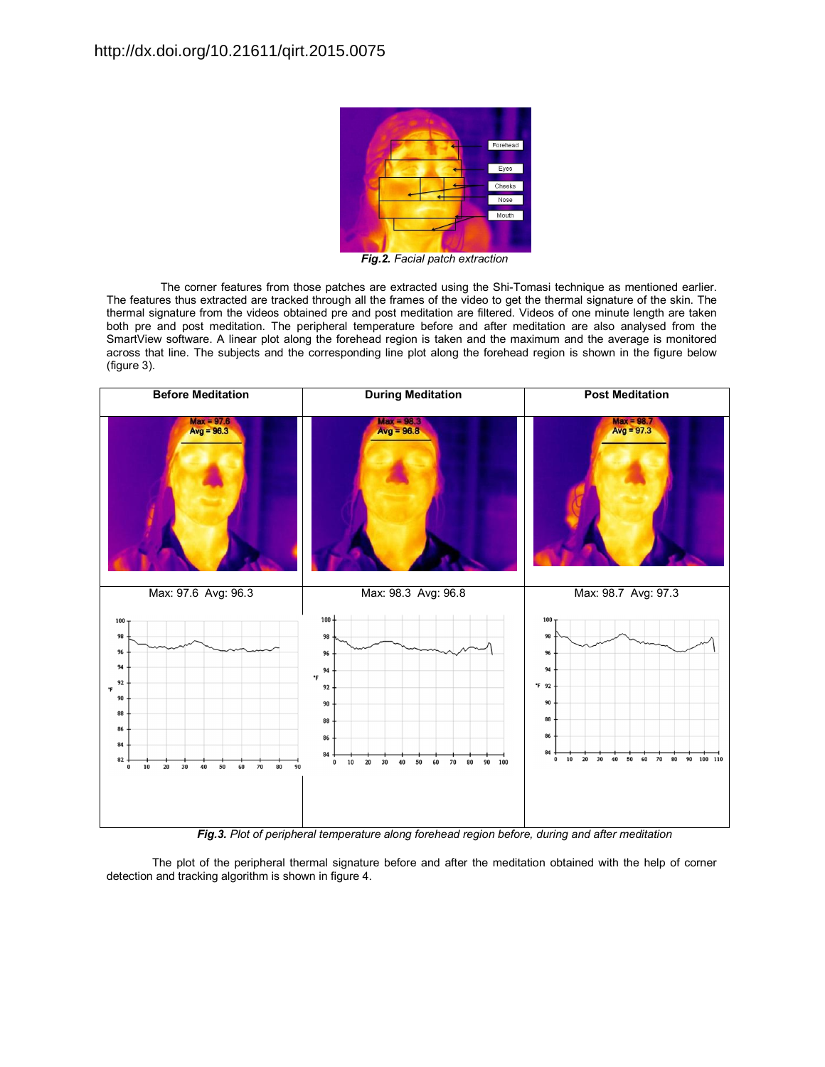

*Fig.2. Facial patch extraction* 

The corner features from those patches are extracted using the Shi-Tomasi technique as mentioned earlier. The features thus extracted are tracked through all the frames of the video to get the thermal signature of the skin. The thermal signature from the videos obtained pre and post meditation are filtered. Videos of one minute length are taken both pre and post meditation. The peripheral temperature before and after meditation are also analysed from the SmartView software. A linear plot along the forehead region is taken and the maximum and the average is monitored across that line. The subjects and the corresponding line plot along the forehead region is shown in the figure below (figure 3).



*Fig.3. Plot of peripheral temperature along forehead region before, during and after meditation* 

The plot of the peripheral thermal signature before and after the meditation obtained with the help of corner detection and tracking algorithm is shown in figure 4.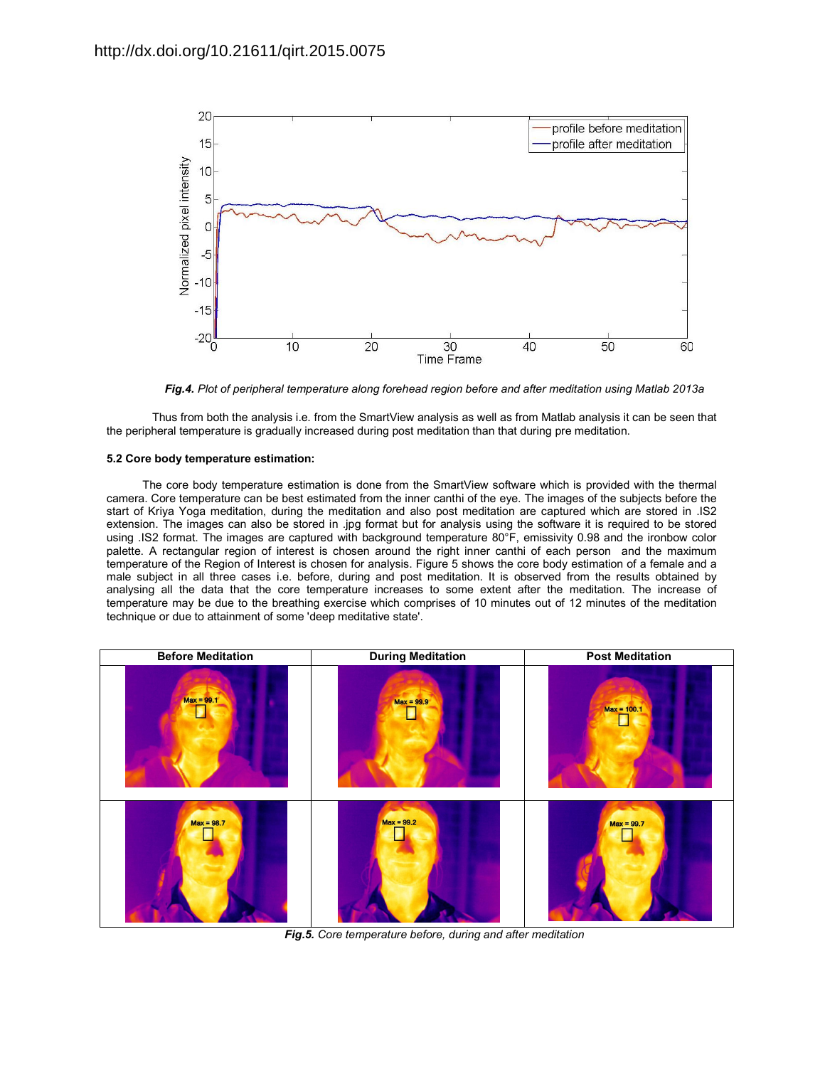

*Fig.4. Plot of peripheral temperature along forehead region before and after meditation using Matlab 2013a* 

Thus from both the analysis i.e. from the SmartView analysis as well as from Matlab analysis it can be seen that the peripheral temperature is gradually increased during post meditation than that during pre meditation.

### **5.2 Core body temperature estimation:**

The core body temperature estimation is done from the SmartView software which is provided with the thermal camera. Core temperature can be best estimated from the inner canthi of the eye. The images of the subjects before the start of Kriya Yoga meditation, during the meditation and also post meditation are captured which are stored in .IS2 extension. The images can also be stored in .jpg format but for analysis using the software it is required to be stored using .IS2 format. The images are captured with background temperature 80°F, emissivity 0.98 and the ironbow color palette. A rectangular region of interest is chosen around the right inner canthi of each person and the maximum temperature of the Region of Interest is chosen for analysis. Figure 5 shows the core body estimation of a female and a male subject in all three cases i.e. before, during and post meditation. It is observed from the results obtained by analysing all the data that the core temperature increases to some extent after the meditation. The increase of temperature may be due to the breathing exercise which comprises of 10 minutes out of 12 minutes of the meditation technique or due to attainment of some 'deep meditative state'.



*Fig.5. Core temperature before, during and after meditation*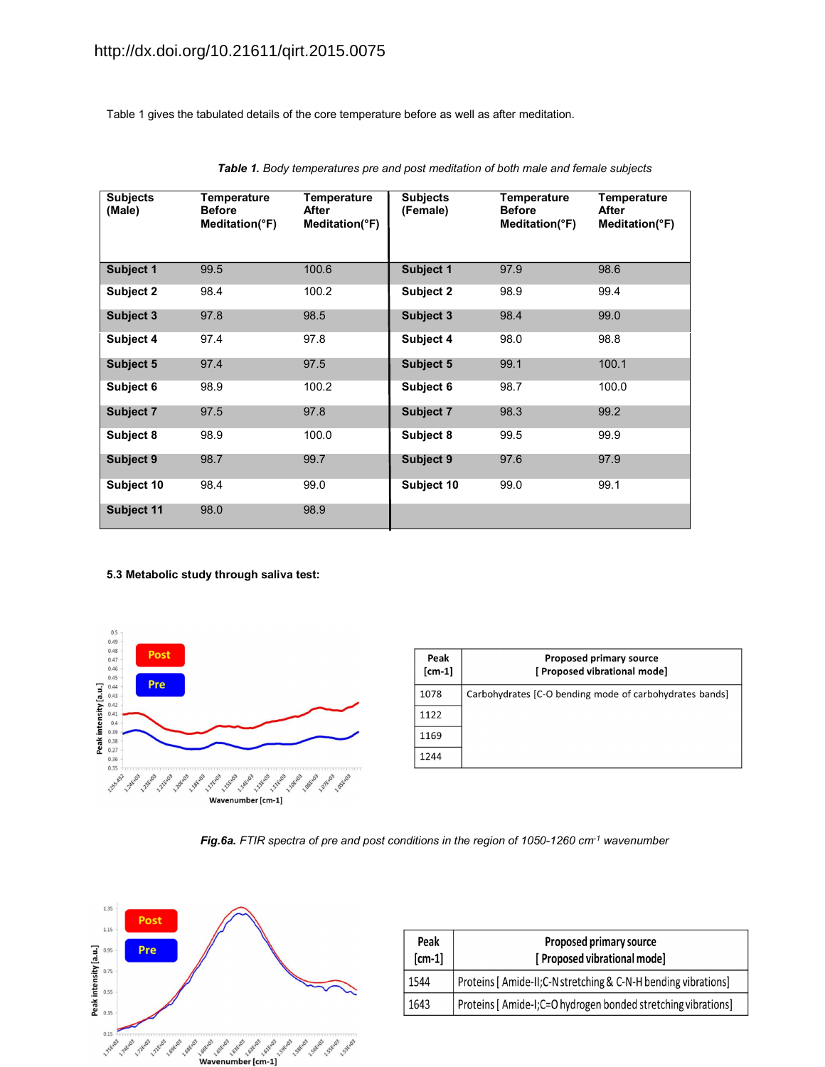Table 1 gives the tabulated details of the core temperature before as well as after meditation.

| <b>Subjects</b><br>(Male) | Temperature<br><b>Before</b><br>Meditation(°F) | Temperature<br>After<br>Meditation(°F) | <b>Subjects</b><br>(Female) | Temperature<br><b>Before</b><br>Meditation(°F) | <b>Temperature</b><br>After<br>Meditation(°F) |
|---------------------------|------------------------------------------------|----------------------------------------|-----------------------------|------------------------------------------------|-----------------------------------------------|
| Subject 1                 | 99.5                                           | 100.6                                  | Subject 1                   | 97.9                                           | 98.6                                          |
| Subject 2                 | 98.4                                           | 100.2                                  | Subject 2                   | 98.9                                           | 99.4                                          |
| Subject 3                 | 97.8                                           | 98.5                                   | Subject 3                   | 98.4                                           | 99.0                                          |
| Subject 4                 | 97.4                                           | 97.8                                   | Subject 4                   | 98.0                                           | 98.8                                          |
| Subject 5                 | 97.4                                           | 97.5                                   | Subject 5                   | 99.1                                           | 100.1                                         |
| Subject 6                 | 98.9                                           | 100.2                                  | Subject 6                   | 98.7                                           | 100.0                                         |
| Subject 7                 | 97.5                                           | 97.8                                   | Subject 7                   | 98.3                                           | 99.2                                          |
| Subject 8                 | 98.9                                           | 100.0                                  | Subject 8                   | 99.5                                           | 99.9                                          |
| Subject 9                 | 98.7                                           | 99.7                                   | Subject 9                   | 97.6                                           | 97.9                                          |
| Subject 10                | 98.4                                           | 99.0                                   | Subject 10                  | 99.0                                           | 99.1                                          |
| Subject 11                | 98.0                                           | 98.9                                   |                             |                                                |                                               |

*Table 1. Body temperatures pre and post meditation of both male and female subjects* 

**5.3 Metabolic study through saliva test:** 



| Peak<br>$[cm-1]$ | <b>Proposed primary source</b><br>[ Proposed vibrational mode] |
|------------------|----------------------------------------------------------------|
| 1078             | Carbohydrates [C-O bending mode of carbohydrates bands]        |
| 1122             |                                                                |
| 1169             |                                                                |
| 1244             |                                                                |





| Peak<br>$[cm-1]$ | Proposed primary source<br>[ Proposed vibrational mode]        |
|------------------|----------------------------------------------------------------|
| 1544             | Proteins [ Amide-II;C-N stretching & C-N-H bending vibrations] |
| 1643             | Proteins [ Amide-I;C=O hydrogen bonded stretching vibrations]  |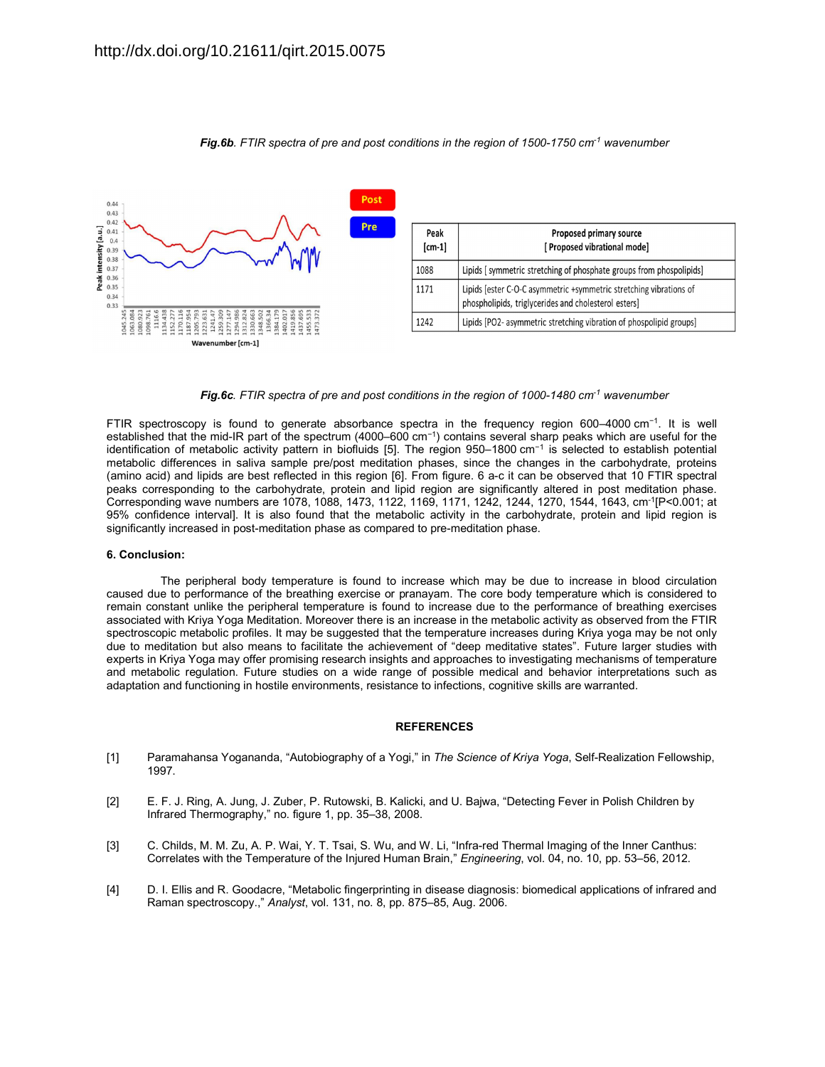

*Fig.6b.* FTIR spectra of pre and post conditions in the region of 1500-1750 cm<sup>-1</sup> wavenumber

*Fig.6c. FTIR spectra of pre and post conditions in the region of 1000-1480 cm-1 wavenumber*

FTIR spectroscopy is found to generate absorbance spectra in the frequency region 600–4000 cm−1. It is well established that the mid-IR part of the spectrum (4000–600 cm−1) contains several sharp peaks which are useful for the identification of metabolic activity pattern in biofluids [5]. The region 950–1800 cm−1 is selected to establish potential metabolic differences in saliva sample pre/post meditation phases, since the changes in the carbohydrate, proteins (amino acid) and lipids are best reflected in this region [6]. From figure. 6 a-c it can be observed that 10 FTIR spectral peaks corresponding to the carbohydrate, protein and lipid region are significantly altered in post meditation phase. Corresponding wave numbers are 1078, 1088, 1473, 1122, 1169, 1171, 1242, 1244, 1270, 1544, 1643, cm-1[P<0.001; at 95% confidence interval]. It is also found that the metabolic activity in the carbohydrate, protein and lipid region is significantly increased in post-meditation phase as compared to pre-meditation phase.

#### **6. Conclusion:**

The peripheral body temperature is found to increase which may be due to increase in blood circulation caused due to performance of the breathing exercise or pranayam. The core body temperature which is considered to remain constant unlike the peripheral temperature is found to increase due to the performance of breathing exercises associated with Kriya Yoga Meditation. Moreover there is an increase in the metabolic activity as observed from the FTIR spectroscopic metabolic profiles. It may be suggested that the temperature increases during Kriya yoga may be not only due to meditation but also means to facilitate the achievement of "deep meditative states". Future larger studies with experts in Kriya Yoga may offer promising research insights and approaches to investigating mechanisms of temperature and metabolic regulation. Future studies on a wide range of possible medical and behavior interpretations such as adaptation and functioning in hostile environments, resistance to infections, cognitive skills are warranted.

#### **REFERENCES**

- [1] Paramahansa Yogananda, "Autobiography of a Yogi," in *The Science of Kriya Yoga*, Self-Realization Fellowship, 1997.
- [2] E. F. J. Ring, A. Jung, J. Zuber, P. Rutowski, B. Kalicki, and U. Bajwa, "Detecting Fever in Polish Children by Infrared Thermography," no. figure 1, pp. 35–38, 2008.
- [3] C. Childs, M. M. Zu, A. P. Wai, Y. T. Tsai, S. Wu, and W. Li, "Infra-red Thermal Imaging of the Inner Canthus: Correlates with the Temperature of the Injured Human Brain," *Engineering*, vol. 04, no. 10, pp. 53–56, 2012.
- [4] D. I. Ellis and R. Goodacre, "Metabolic fingerprinting in disease diagnosis: biomedical applications of infrared and Raman spectroscopy.," *Analyst*, vol. 131, no. 8, pp. 875–85, Aug. 2006.